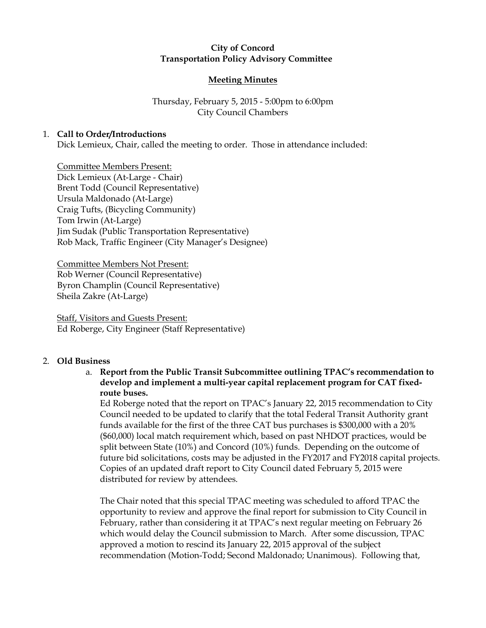## City of Concord Transportation Policy Advisory Committee

#### Meeting Minutes

# Thursday, February 5, 2015 - 5:00pm to 6:00pm City Council Chambers

#### 1. Call to Order/Introductions

Dick Lemieux, Chair, called the meeting to order. Those in attendance included:

Committee Members Present: Dick Lemieux (At-Large - Chair) Brent Todd (Council Representative) Ursula Maldonado (At-Large) Craig Tufts, (Bicycling Community) Tom Irwin (At-Large) Jim Sudak (Public Transportation Representative) Rob Mack, Traffic Engineer (City Manager's Designee)

Committee Members Not Present: Rob Werner (Council Representative) Byron Champlin (Council Representative) Sheila Zakre (At-Large)

Staff, Visitors and Guests Present: Ed Roberge, City Engineer (Staff Representative)

#### 2. Old Business

a. Report from the Public Transit Subcommittee outlining TPAC's recommendation to develop and implement a multi-year capital replacement program for CAT fixedroute buses.

Ed Roberge noted that the report on TPAC's January 22, 2015 recommendation to City Council needed to be updated to clarify that the total Federal Transit Authority grant funds available for the first of the three CAT bus purchases is \$300,000 with a 20% (\$60,000) local match requirement which, based on past NHDOT practices, would be split between State (10%) and Concord (10%) funds. Depending on the outcome of future bid solicitations, costs may be adjusted in the FY2017 and FY2018 capital projects. Copies of an updated draft report to City Council dated February 5, 2015 were distributed for review by attendees.

The Chair noted that this special TPAC meeting was scheduled to afford TPAC the opportunity to review and approve the final report for submission to City Council in February, rather than considering it at TPAC's next regular meeting on February 26 which would delay the Council submission to March. After some discussion, TPAC approved a motion to rescind its January 22, 2015 approval of the subject recommendation (Motion-Todd; Second Maldonado; Unanimous). Following that,